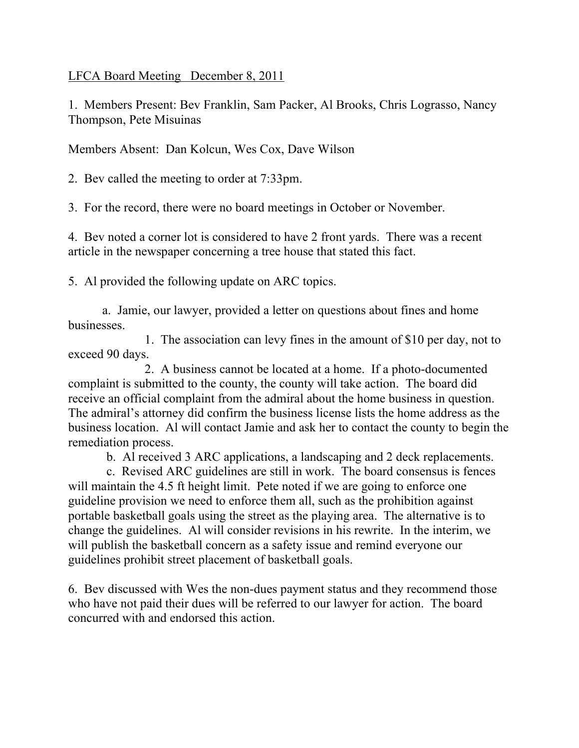LFCA Board Meeting December 8, 2011

1. Members Present: Bev Franklin, Sam Packer, Al Brooks, Chris Lograsso, Nancy Thompson, Pete Misuinas

Members Absent: Dan Kolcun, Wes Cox, Dave Wilson

2. Bev called the meeting to order at 7:33pm.

3. For the record, there were no board meetings in October or November.

4. Bev noted a corner lot is considered to have 2 front yards. There was a recent article in the newspaper concerning a tree house that stated this fact.

5. Al provided the following update on ARC topics.

a. Jamie, our lawyer, provided a letter on questions about fines and home businesses.

 1. The association can levy fines in the amount of \$10 per day, not to exceed 90 days.

 2. A business cannot be located at a home. If a photo-documented complaint is submitted to the county, the county will take action. The board did receive an official complaint from the admiral about the home business in question. The admiral's attorney did confirm the business license lists the home address as the business location. Al will contact Jamie and ask her to contact the county to begin the remediation process.

b. Al received 3 ARC applications, a landscaping and 2 deck replacements.

 c. Revised ARC guidelines are still in work. The board consensus is fences will maintain the 4.5 ft height limit. Pete noted if we are going to enforce one guideline provision we need to enforce them all, such as the prohibition against portable basketball goals using the street as the playing area. The alternative is to change the guidelines. Al will consider revisions in his rewrite. In the interim, we will publish the basketball concern as a safety issue and remind everyone our guidelines prohibit street placement of basketball goals.

6. Bev discussed with Wes the non-dues payment status and they recommend those who have not paid their dues will be referred to our lawyer for action. The board concurred with and endorsed this action.